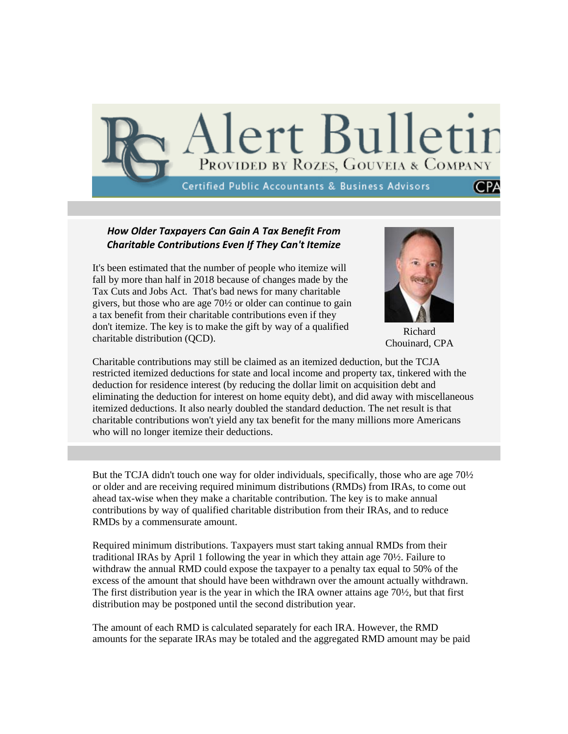

## *How Older Taxpayers Can Gain A Tax Benefit From Charitable Contributions Even If They Can't Itemize*

It's been estimated that the number of people who itemize will fall by more than half in 2018 because of changes made by the Tax Cuts and Jobs Act. That's bad news for many charitable givers, but those who are age 70½ or older can continue to gain a tax benefit from their charitable contributions even if they don't itemize. The key is to make the gift by way of a qualified charitable distribution (QCD).



Richard Chouinard, CPA

Charitable contributions may still be claimed as an itemized deduction, but the TCJA restricted itemized deductions for state and local income and property tax, tinkered with the deduction for residence interest (by reducing the dollar limit on acquisition debt and eliminating the deduction for interest on home equity debt), and did away with miscellaneous itemized deductions. It also nearly doubled the standard deduction. The net result is that charitable contributions won't yield any tax benefit for the many millions more Americans who will no longer itemize their deductions.

But the TCJA didn't touch one way for older individuals, specifically, those who are age 70½ or older and are receiving required minimum distributions (RMDs) from IRAs, to come out ahead tax-wise when they make a charitable contribution. The key is to make annual contributions by way of qualified charitable distribution from their IRAs, and to reduce RMDs by a commensurate amount.

Required minimum distributions. Taxpayers must start taking annual RMDs from their traditional IRAs by April 1 following the year in which they attain age 70½. Failure to withdraw the annual RMD could expose the taxpayer to a penalty tax equal to 50% of the excess of the amount that should have been withdrawn over the amount actually withdrawn. The first distribution year is the year in which the IRA owner attains age 70½, but that first distribution may be postponed until the second distribution year.

The amount of each RMD is calculated separately for each IRA. However, the RMD amounts for the separate IRAs may be totaled and the aggregated RMD amount may be paid